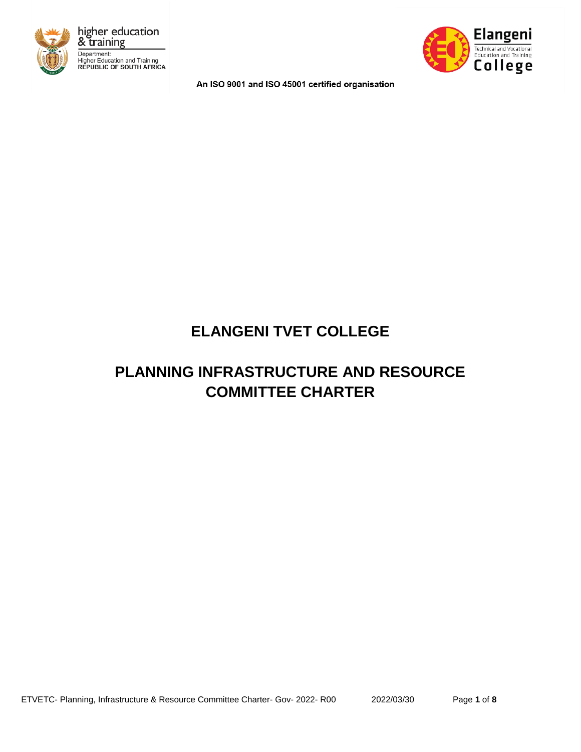



An ISO 9001 and ISO 45001 certified organisation

# **ELANGENI TVET COLLEGE**

# **PLANNING INFRASTRUCTURE AND RESOURCE COMMITTEE CHARTER**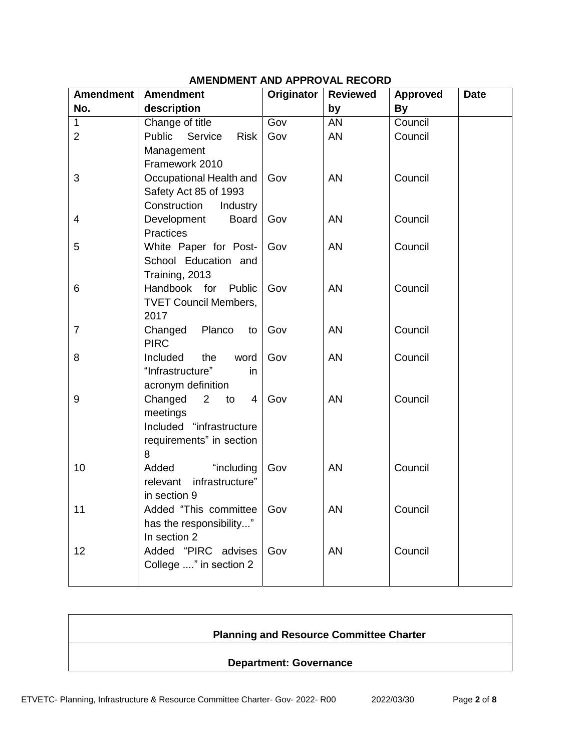| <b>Amendment</b> | <b>Amendment</b>                                   | Originator | <b>Reviewed</b> | <b>Approved</b> | <b>Date</b> |
|------------------|----------------------------------------------------|------------|-----------------|-----------------|-------------|
| No.              | description                                        |            | by              | <b>By</b>       |             |
| $\mathbf{1}$     | Change of title                                    | Gov        | AN              | Council         |             |
| $\overline{2}$   | Public<br>Service<br><b>Risk</b>                   | Gov        | <b>AN</b>       | Council         |             |
|                  | Management                                         |            |                 |                 |             |
|                  | Framework 2010                                     |            |                 |                 |             |
| 3                | Occupational Health and                            | Gov        | <b>AN</b>       | Council         |             |
|                  | Safety Act 85 of 1993                              |            |                 |                 |             |
|                  | Construction<br>Industry                           |            |                 |                 |             |
| $\overline{4}$   | Development<br><b>Board</b>                        | Gov        | <b>AN</b>       | Council         |             |
|                  | <b>Practices</b>                                   |            |                 |                 |             |
| 5                | White Paper for Post-                              | Gov        | <b>AN</b>       | Council         |             |
|                  | School Education and                               |            |                 |                 |             |
| 6                | Training, 2013<br>Handbook for Public              | Gov        | <b>AN</b>       | Council         |             |
|                  | <b>TVET Council Members,</b>                       |            |                 |                 |             |
|                  | 2017                                               |            |                 |                 |             |
| $\overline{7}$   | Changed<br>Planco<br>to                            | Gov        | <b>AN</b>       | Council         |             |
|                  | <b>PIRC</b>                                        |            |                 |                 |             |
| 8                | Included<br>the<br>word                            | Gov        | <b>AN</b>       | Council         |             |
|                  | "Infrastructure"<br>in                             |            |                 |                 |             |
|                  | acronym definition                                 |            |                 |                 |             |
| 9                | Changed<br>$\overline{2}$<br>to<br>4               | Gov        | <b>AN</b>       | Council         |             |
|                  | meetings                                           |            |                 |                 |             |
|                  | Included "infrastructure                           |            |                 |                 |             |
|                  | requirements" in section                           |            |                 |                 |             |
|                  | 8                                                  |            |                 |                 |             |
| 10               | Added<br>"including<br>infrastructure"<br>relevant | Gov        | <b>AN</b>       | Council         |             |
|                  | in section 9                                       |            |                 |                 |             |
| 11               | Added "This committee   Gov                        |            | AN              | Council         |             |
|                  | has the responsibility"                            |            |                 |                 |             |
|                  | In section 2                                       |            |                 |                 |             |
| 12               | Added "PIRC advises                                | Gov        | <b>AN</b>       | Council         |             |
|                  | College " in section 2                             |            |                 |                 |             |
|                  |                                                    |            |                 |                 |             |

# **AMENDMENT AND APPROVAL RECORD**

# **Planning and Resource Committee Charter**

#### **Department: Governance**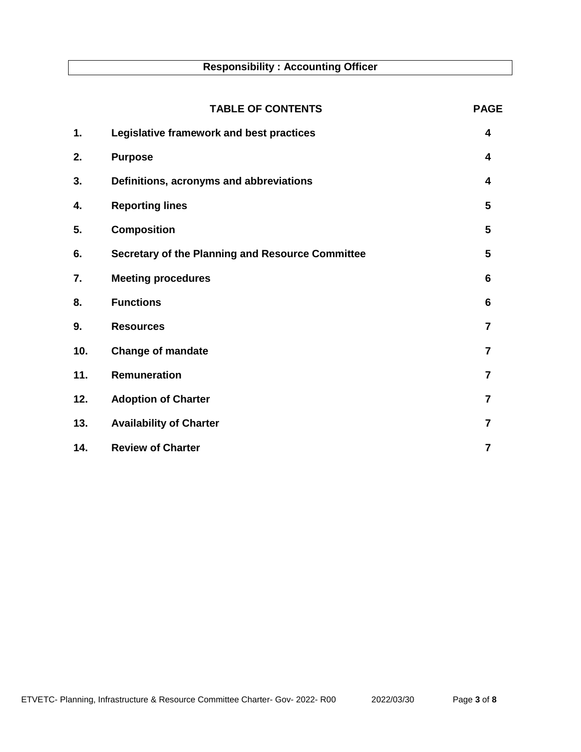# **Responsibility : Accounting Officer**

|     | <b>TABLE OF CONTENTS</b>                         | <b>PAGE</b>    |
|-----|--------------------------------------------------|----------------|
| 1.  | Legislative framework and best practices         | 4              |
| 2.  | <b>Purpose</b>                                   | 4              |
| 3.  | Definitions, acronyms and abbreviations          | 4              |
| 4.  | <b>Reporting lines</b>                           | 5              |
| 5.  | <b>Composition</b>                               | 5              |
| 6.  | Secretary of the Planning and Resource Committee | 5              |
| 7.  | <b>Meeting procedures</b>                        | 6              |
| 8.  | <b>Functions</b>                                 | 6              |
| 9.  | <b>Resources</b>                                 | $\overline{7}$ |
| 10. | <b>Change of mandate</b>                         | $\overline{7}$ |
| 11. | Remuneration                                     | $\overline{7}$ |
| 12. | <b>Adoption of Charter</b>                       | 7              |
| 13. | <b>Availability of Charter</b>                   | $\overline{7}$ |
| 14. | <b>Review of Charter</b>                         | 7              |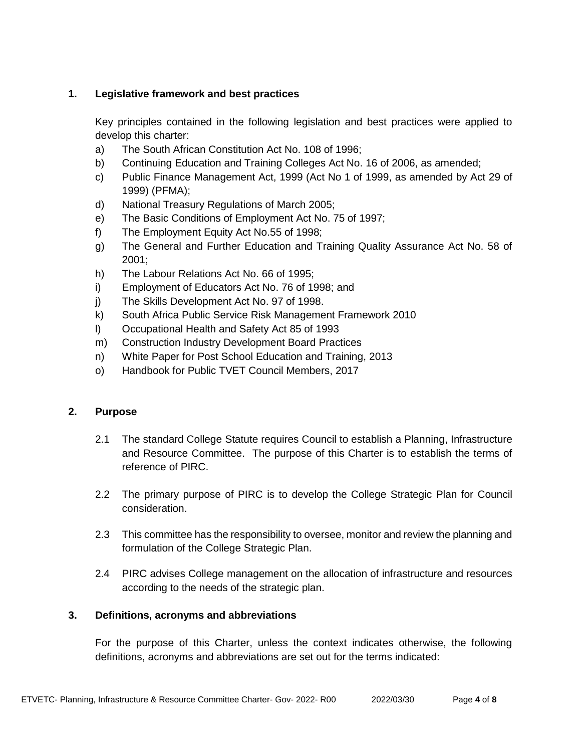# **1. Legislative framework and best practices**

Key principles contained in the following legislation and best practices were applied to develop this charter:

- a) The South African Constitution Act No. 108 of 1996;
- b) Continuing Education and Training Colleges Act No. 16 of 2006, as amended;
- c) Public Finance Management Act, 1999 (Act No 1 of 1999, as amended by Act 29 of 1999) (PFMA);
- d) National Treasury Regulations of March 2005;
- e) The Basic Conditions of Employment Act No. 75 of 1997;
- f) The Employment Equity Act No.55 of 1998;
- g) The General and Further Education and Training Quality Assurance Act No. 58 of 2001;
- h) The Labour Relations Act No. 66 of 1995;
- i) Employment of Educators Act No. 76 of 1998; and
- j) The Skills Development Act No. 97 of 1998.
- k) South Africa Public Service Risk Management Framework 2010
- l) Occupational Health and Safety Act 85 of 1993
- m) Construction Industry Development Board Practices
- n) White Paper for Post School Education and Training, 2013
- o) Handbook for Public TVET Council Members, 2017

## **2. Purpose**

- 2.1 The standard College Statute requires Council to establish a Planning, Infrastructure and Resource Committee. The purpose of this Charter is to establish the terms of reference of PIRC.
- 2.2 The primary purpose of PIRC is to develop the College Strategic Plan for Council consideration.
- 2.3 This committee has the responsibility to oversee, monitor and review the planning and formulation of the College Strategic Plan.
- 2.4 PIRC advises College management on the allocation of infrastructure and resources according to the needs of the strategic plan.

## **3. Definitions, acronyms and abbreviations**

For the purpose of this Charter, unless the context indicates otherwise, the following definitions, acronyms and abbreviations are set out for the terms indicated: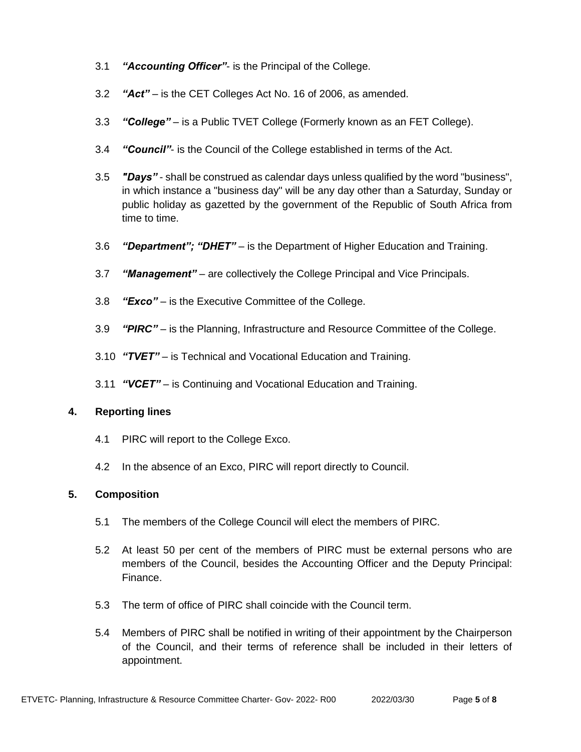- 3.1 *"Accounting Officer"* is the Principal of the College.
- 3.2 *"Act"* is the CET Colleges Act No. 16 of 2006, as amended.
- 3.3 *"College"* is a Public TVET College (Formerly known as an FET College).
- 3.4 *"Council"* is the Council of the College established in terms of the Act.
- 3.5 *"Days"* shall be construed as calendar days unless qualified by the word "business", in which instance a "business day" will be any day other than a Saturday, Sunday or public holiday as gazetted by the government of the Republic of South Africa from time to time.
- 3.6 *"Department"; "DHET"* is the Department of Higher Education and Training.
- 3.7 *"Management"*  are collectively the College Principal and Vice Principals.
- 3.8 *"Exco"* is the Executive Committee of the College.
- 3.9 *"PIRC"* is the Planning, Infrastructure and Resource Committee of the College.
- 3.10 *"TVET"* is Technical and Vocational Education and Training.
- 3.11 *"VCET"*  is Continuing and Vocational Education and Training.

## **4. Reporting lines**

- 4.1 PIRC will report to the College Exco.
- 4.2 In the absence of an Exco, PIRC will report directly to Council.

## **5. Composition**

- 5.1 The members of the College Council will elect the members of PIRC.
- 5.2 At least 50 per cent of the members of PIRC must be external persons who are members of the Council, besides the Accounting Officer and the Deputy Principal: Finance.
- 5.3 The term of office of PIRC shall coincide with the Council term.
- 5.4 Members of PIRC shall be notified in writing of their appointment by the Chairperson of the Council, and their terms of reference shall be included in their letters of appointment.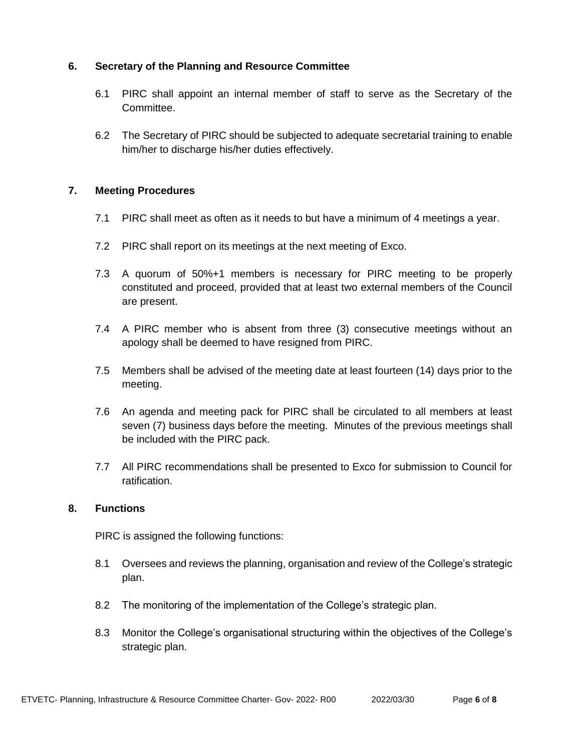## **6. Secretary of the Planning and Resource Committee**

- 6.1 PIRC shall appoint an internal member of staff to serve as the Secretary of the Committee.
- 6.2 The Secretary of PIRC should be subjected to adequate secretarial training to enable him/her to discharge his/her duties effectively.

# **7. Meeting Procedures**

- 7.1 PIRC shall meet as often as it needs to but have a minimum of 4 meetings a year.
- 7.2 PIRC shall report on its meetings at the next meeting of Exco.
- 7.3 A quorum of 50%+1 members is necessary for PIRC meeting to be properly constituted and proceed, provided that at least two external members of the Council are present.
- 7.4 A PIRC member who is absent from three (3) consecutive meetings without an apology shall be deemed to have resigned from PIRC.
- 7.5 Members shall be advised of the meeting date at least fourteen (14) days prior to the meeting.
- 7.6 An agenda and meeting pack for PIRC shall be circulated to all members at least seven (7) business days before the meeting. Minutes of the previous meetings shall be included with the PIRC pack.
- 7.7 All PIRC recommendations shall be presented to Exco for submission to Council for ratification.

## **8. Functions**

PIRC is assigned the following functions:

- 8.1 Oversees and reviews the planning, organisation and review of the College's strategic plan.
- 8.2 The monitoring of the implementation of the College's strategic plan.
- 8.3 Monitor the College's organisational structuring within the objectives of the College's strategic plan.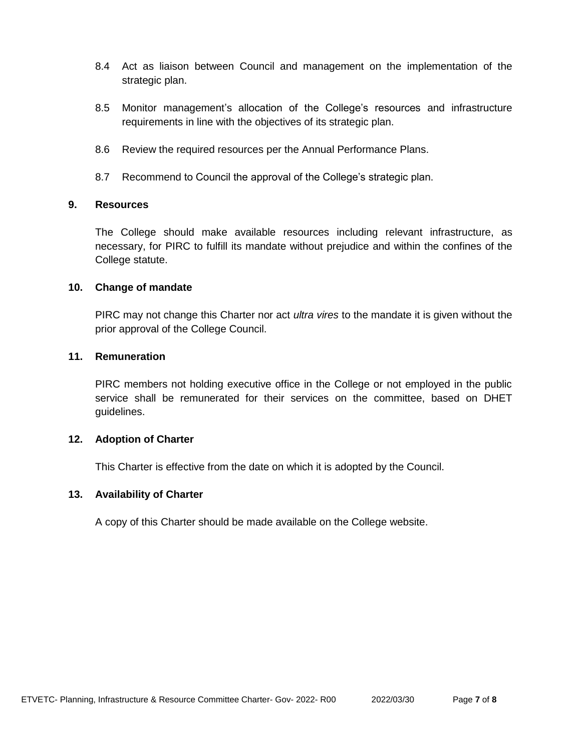- 8.4 Act as liaison between Council and management on the implementation of the strategic plan.
- 8.5 Monitor management's allocation of the College's resources and infrastructure requirements in line with the objectives of its strategic plan.
- 8.6 Review the required resources per the Annual Performance Plans.
- 8.7 Recommend to Council the approval of the College's strategic plan.

#### **9. Resources**

The College should make available resources including relevant infrastructure, as necessary, for PIRC to fulfill its mandate without prejudice and within the confines of the College statute.

#### **10. Change of mandate**

PIRC may not change this Charter nor act *ultra vires* to the mandate it is given without the prior approval of the College Council.

#### **11. Remuneration**

PIRC members not holding executive office in the College or not employed in the public service shall be remunerated for their services on the committee, based on DHET guidelines.

#### **12. Adoption of Charter**

This Charter is effective from the date on which it is adopted by the Council.

#### **13. Availability of Charter**

A copy of this Charter should be made available on the College website.